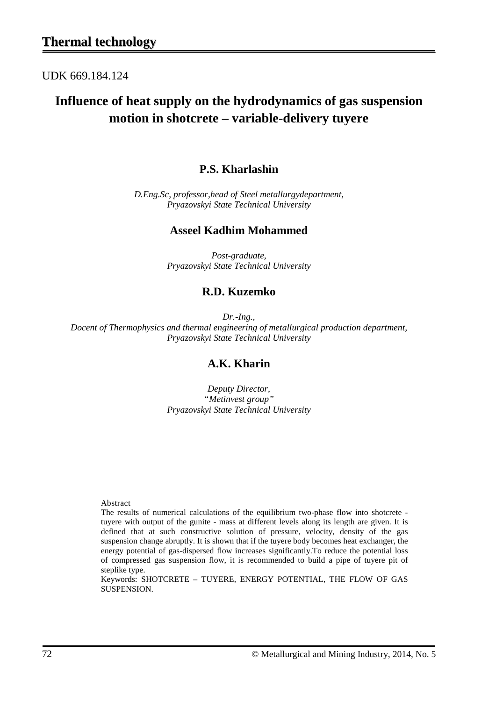UDK 669.184.124

# **Influence of heat supply on the hydrodynamics of gas suspension motion in shotcrete – variable-delivery tuyere**

## **P.S. Kharlashin**

*D.Eng.Sc, professor,head of Steel metallurgydepartment, Pryazovskyi State Technical University*

#### **Asseel Kadhim Mohammed**

*Post-graduate, Pryazovskyi State Technical University*

### **R.D. Kuzemko**

*Dr.-Ing., Docent of Thermophysics and thermal engineering of metallurgical production department, Pryazovskyi State Technical University*

### **A.K. Kharin**

*Deputy Director, "Metinvest group" Pryazovskyi State Technical University*

Abstract

The results of numerical calculations of the equilibrium two-phase flow into shotcrete tuyere with output of the gunite - mass at different levels along its length are given. It is defined that at such constructive solution of pressure, velocity, density of the gas suspension change abruptly. It is shown that if the tuyere body becomes heat exchanger, the energy potential of gas-dispersed flow increases significantly.To reduce the potential loss of compressed gas suspension flow, it is recommended to build a pipe of tuyere pit of steplike type.

Keywords: SHOTCRETE – TUYERE, ENERGY POTENTIAL, THE FLOW OF GAS SUSPENSION.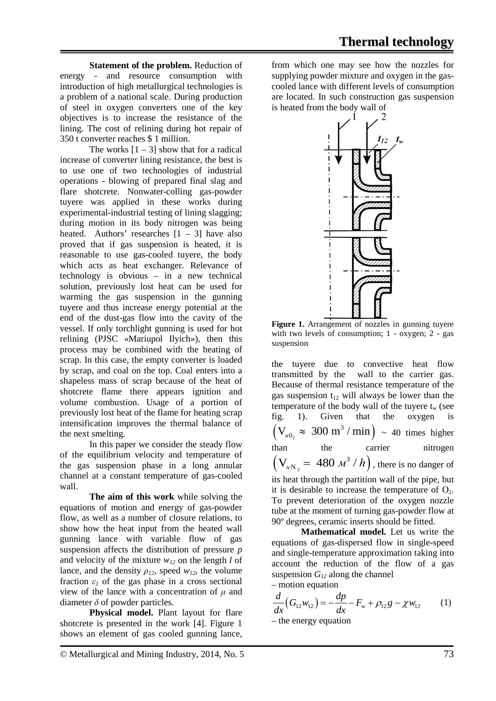**Statement of the problem.** Reduction of energy - and resource consumption with introduction of high metallurgical technologies is a problem of a national scale. During production of steel in oxygen converters one of the key objectives is to increase the resistance of the lining. The cost of relining during hot repair of 350 t converter reaches \$ 1 million.

The works  $[1 - 3]$  show that for a radical increase of converter lining resistance, the best is to use one of two technologies of industrial operations - blowing of prepared final slag and flare shotcrete. Nonwater-colling gas-powder tuyere was applied in these works during experimental-industrial testing of lining slagging; during motion in its body nitrogen was being heated. Authors' researches  $[1 - 3]$  have also proved that if gas suspension is heated, it is reasonable to use gas-cooled tuyere, the body which acts as heat exchanger. Relevance of technology is obvious – in a new technical solution, previously lost heat can be used for warming the gas suspension in the gunning tuyere and thus increase energy potential at the end of the dust-gas flow into the cavity of the vessel. If only torchlight gunning is used for hot relining (PJSC «Mariupol Ilyich»), then this process may be combined with the heating of scrap. In this case, the empty converter is loaded by scrap, and coal on the top. Coal enters into a shapeless mass of scrap because of the heat of shotcrete flame there appears ignition and volume combustion. Usage of a portion of previously lost heat of the flame for heating scrap intensification improves the thermal balance of the next smelting.

In this paper we consider the steady flow of the equilibrium velocity and temperature of the gas suspension phase in a long annular channel at a constant temperature of gas-cooled wall.

**The aim of this work** while solving the equations of motion and energy of gas-powder flow, as well as a number of closure relations, to show how the heat input from the heated wall gunning lance with variable flow of gas suspension affects the distribution of pressure *p* and velocity of the mixture  $w_{12}$  on the length *l* of lance, and the density  $\rho_{12}$ , speed  $w_{12}$ , the volume fraction  $\varepsilon_l$  of the gas phase in a cross sectional view of the lance with a concentration of *μ* and diameter  $\delta$  of powder particles.

**Physical model.** Plant layout for flare shotcrete is presented in the work [4]. Figure 1 shows an element of gas cooled gunning lance, from which one may see how the nozzles for supplying powder mixture and oxygen in the gascooled lance with different levels of consumption are located. In such construction gas suspension is heated from the body wall of



Figure 1. Arrangement of nozzles in gunning tuyere with two levels of consumption; 1 - oxygen; 2 - gas suspension

the tuyere due to convective heat flow transmitted by the wall to the carrier gas. Because of thermal resistance temperature of the gas suspension  $t_{12}$  will always be lower than the temperature of the body wall of the tuyere  $t_w$  (see<br>fig. 1). Given that the oxygen is fig. 1). Given that the oxygen is  $(V_{\mu_0} \approx 300 \text{ m}^3/\text{min}) \sim 40 \text{ times higher}$ than the carrier nitrogen  $(V_{nN_2} = 480 \frac{m^3}{h})$ , there is no danger of its heat through the partition wall of the pipe, but it is desirable to increase the temperature of  $O<sub>2</sub>$ . To prevent deterioration of the oxygen nozzle tube at the moment of turning gas-powder flow at 90º degrees, ceramic inserts should be fitted.

**Mathematical model.** Let us write the equations of gas-dispersed flow in single-speed and single-temperature approximation taking into account the reduction of the flow of a gas suspension  $G_{12}$  along the channel – motion equation

$$
\frac{d}{dx}(G_{12}w_{12}) = -\frac{dp}{dx} - F_w + \rho_{12}g - \chi w_{12}
$$
 (1)

– the energy equation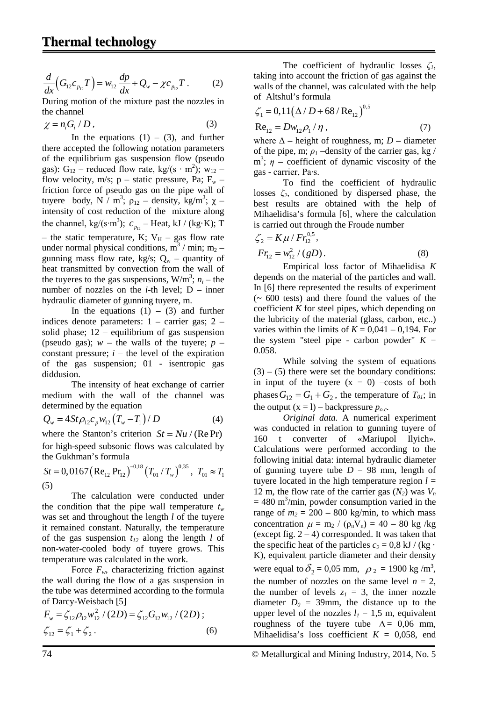$$
\frac{d}{dx}\Big(G_{12}c_{p_{12}}T\Big)=w_{12}\frac{dp}{dx}+Q_w-\chi c_{p_{12}}T\,.
$$
 (2)

During motion of the mixture past the nozzles in the channel

 $\chi = n_i G / D$ , (3)

In the equations  $(1) - (3)$ , and further there accepted the following notation parameters of the equilibrium gas suspension flow (pseudo gas): G<sub>12</sub> – reduced flow rate, kg/(s · m<sup>2</sup>); w<sub>12</sub> – flow velocity, m/s;  $p -$  static pressure, Pa;  $F_w$  – friction force of pseudo gas on the pipe wall of tuyere body, N  $\sqrt{\mu}$ ,  $\rho_{12}$  – density, kg/m<sup>3</sup>;  $\chi$  – intensity of cost reduction of the mixture along the channel, kg/(s⋅m<sup>3</sup>);  $c_{p_{12}}$  – Heat, kJ / (kg⋅K); T – the static temperature, K;  $V_H$  – gas flow rate under normal physical conditions,  $m_3^3 / m$ in; m<sub>2</sub> – gunning mass flow rate, kg/s;  $Q_w$  – quantity of heat transmitted by convection from the wall of the tuyeres to the gas suspensions,  $W/m^3$ ;  $n_i$  – the number of nozzles on the  $i$ -th level;  $D$  – inner hydraulic diameter of gunning tuyere, m.

In the equations  $(1) - (3)$  and further indices denote parameters: 1 – carrier gas; 2 – solid phase; 12 – equilibrium of gas suspension (pseudo gas);  $w$  – the walls of the tuyere;  $p$  – constant pressure;  $i$  – the level of the expiration of the gas suspension; 01 - isentropic gas diddusion.

The intensity of heat exchange of carrier medium with the wall of the channel was determined by the equation

$$
Q_w = 4St \rho_{12} c_p w_{12} (T_w - T_1) / D
$$
 (4)

where the Stanton's criterion  $St = Nu / (Re Pr)$ for high-speed subsonic flows was calculated by the Gukhman's formula

$$
St = 0,0167 \left( \text{Re}_{12} \text{ Pr}_{12} \right)^{-0.18} \left( T_{01} / T_w \right)^{0.35}, T_{01} \approx T_1
$$
\n(5)

The calculation were conducted under the condition that the pipe wall temperature  $t_w$ was set and throughout the length *l* of the tuyere it remained constant. Naturally, the temperature of the gas suspension  $t_{12}$  along the length *l* of non-water-cooled body of tuyere grows. This temperature was calculated in the work.

Force  $F_w$ , characterizing friction against the wall during the flow of a gas suspension in the tube was determined according to the formula of Darcy-Weisbach [5]

$$
F_w = \zeta_{12} \rho_{12} w_{12}^2 / (2D) = \zeta_{12} G_{12} w_{12} / (2D) ;
$$
  
\n
$$
\zeta_{12} = \zeta_1 + \zeta_2.
$$
 (6)

The coefficient of hydraulic losses *ζ1*, taking into account the friction of gas against the walls of the channel, was calculated with the help of Altshul's formula

$$
\zeta_1 = 0,11(\Delta/D + 68/Re_{12})^{0.5}
$$
  
Re<sub>12</sub> = Dw<sub>12</sub>ρ<sub>1</sub>/η, (7)

where  $\Delta$  – height of roughness, m; *D* – diameter of the pipe, m;  $\rho_l$  –density of the carrier gas, kg / m<sup>3</sup>;  $\eta$  – coefficient of dynamic viscosity of the gas - carrier, Pa∙s.

To find the coefficient of hydraulic losses *ζ2*, conditioned by dispersed phase, the best results are obtained with the help of Mihaelidisa's formula [6], where the calculation is carried out through the Froude number

$$
\zeta_2 = K\mu / Fr_{12}^{0.5},
$$
  
\n
$$
Fr_{12} = w_{12}^2 / (gD).
$$
 (8)

Empirical loss factor of Mihaelidisa *K* depends on the material of the particles and wall. In [6] there represented the results of experiment  $(-600 \text{ tests})$  and there found the values of the coefficient *K* for steel pipes, which depending on the lubricity of the material (glass, carbon, etc..) varies within the limits of  $K = 0.041 - 0.194$ . For the system "steel pipe - carbon powder"  $K =$ 0.058.

While solving the system of equations  $(3) - (5)$  there were set the boundary conditions: in input of the tuyere  $(x = 0)$  –costs of both phases  $G_{12} = G_1 + G_2$ , the temperature of  $T_{01}$ ; in the output  $(x = 1)$  – backpressure  $p_{oc}$ .

*Original data.* A numerical experiment was conducted in relation to gunning tuyere of 160 t converter of «Mariupol Ilyich». Calculations were performed according to the following initial data: internal hydraulic diameter of gunning tuyere tube  $D = 98$  mm, length of tuyere located in the high temperature region  $l =$ 12 m, the flow rate of the carrier gas  $(N_2)$  was  $V_n$  $= 480$  m<sup>3</sup>/min, powder consumption varied in the range of  $m_2 = 200 - 800$  kg/min, to which mass concentration  $\mu = m_2 / (\rho_n V_n) = 40 - 80$  kg/kg (except fig.  $2 - 4$ ) corresponded. It was taken that the specific heat of the particles  $c_2 = 0.8$  kJ / (kg · K), equivalent particle diameter and their density were equal to  $\delta_2 = 0.05$  mm,  $\rho_2 = 1900$  kg/m<sup>3</sup>, the number of nozzles on the same level  $n = 2$ , the number of levels  $z_1 = 3$ , the inner nozzle diameter  $D_0 = 39$ mm, the distance up to the upper level of the nozzles  $l_1 = 1.5$  m, equivalent roughness of the tuyere tube  $\Delta = 0.06$  mm, Mihaelidisa's loss coefficient  $K = 0.058$ , end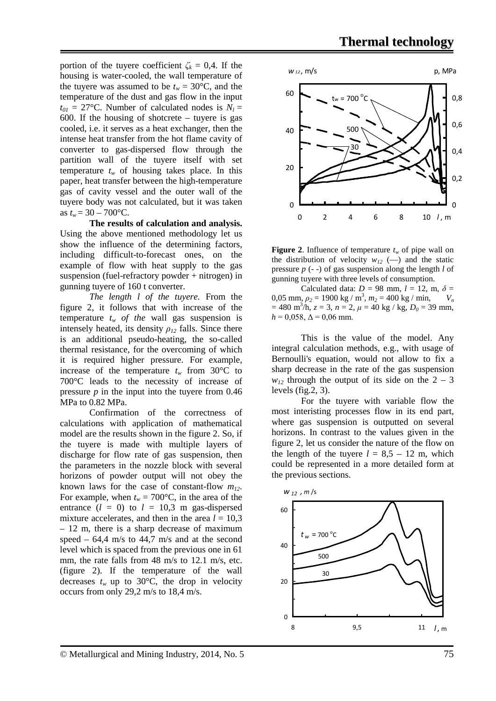portion of the tuyere coefficient  $\zeta_k = 0.4$ . If the housing is water-cooled, the wall temperature of the tuyere was assumed to be  $t_w = 30$ °C, and the temperature of the dust and gas flow in the input  $t_{01} = 27$ °C. Number of calculated nodes is  $N_1 =$ 600. If the housing of shotcrete – tuyere is gas cooled, i.e. it serves as a heat exchanger, then the intense heat transfer from the hot flame cavity of converter to gas-dispersed flow through the partition wall of the tuyere itself with set temperature  $t_w$  of housing takes place. In this paper, heat transfer between the high-temperature gas of cavity vessel and the outer wall of the tuyere body was not calculated, but it was taken as  $t_w = 30 - 700$ °C.

**The results of calculation and analysis.** Using the above mentioned methodology let us show the influence of the determining factors, including difficult-to-forecast ones, on the example of flow with heat supply to the gas suspension (fuel-refractory powder + nitrogen) in gunning tuyere of 160 t converter.

*The length l of the tuyere.* From the figure 2, it follows that with increase of the temperature  $t_w$  *of the wall* gas suspension is intensely heated, its density  $\rho_{12}$  falls. Since there is an additional pseudo-heating, the so-called thermal resistance, for the overcoming of which it is required higher pressure. For example, increase of the temperature  $t_w$  from 30°C to 700°C leads to the necessity of increase of pressure *p* in the input into the tuyere from 0.46 MPa to 0.82 MPa.

Confirmation of the correctness of calculations with application of mathematical model are the results shown in the figure 2. So, if the tuyere is made with multiple layers of discharge for flow rate of gas suspension, then the parameters in the nozzle block with several horizons of powder output will not obey the known laws for the case of constant-flow *m12*. For example, when  $t_w = 700$ °C, in the area of the entrance  $(l = 0)$  to  $l = 10,3$  m gas-dispersed mixture accelerates, and then in the area  $l = 10.3$ – 12 m, there is a sharp decrease of maximum speed –  $64.4$  m/s to  $44.7$  m/s and at the second level which is spaced from the previous one in 61 mm, the rate falls from 48 m/s to 12.1 m/s, etc. (figure 2). If the temperature of the wall decreases  $t_w$  up to 30°C, the drop in velocity occurs from only 29,2 m/s to 18,4 m/s.





Calculated data:  $D = 98$  mm,  $l = 12$ , m,  $\delta =$ 0,05 mm,  $\rho_2 = 1900 \text{ kg} / \text{m}^3$ ,  $m_2 = 400 \text{ kg} / \text{min}$ ,  $V_n$  $= 480 \text{ m}^3/\text{h}, z = 3, n = 2, \mu = 40 \text{ kg} / \text{kg}, D_0 = 39 \text{ mm},$  $h = 0.058$ ,  $\Delta = 0.06$  mm.

This is the value of the model. Any integral calculation methods, e.g., with usage of Bernoulli's equation, would not allow to fix a sharp decrease in the rate of the gas suspension  $w_{12}$  through the output of its side on the 2 – 3 levels (fig.2, 3).

For the tuyere with variable flow the most interisting processes flow in its end part, where gas suspension is outputted on several horizons. In contrast to the values given in the figure 2, let us consider the nature of the flow on the length of the tuyere  $l = 8.5 - 12$  m, which could be represented in a more detailed form at the previous sections.

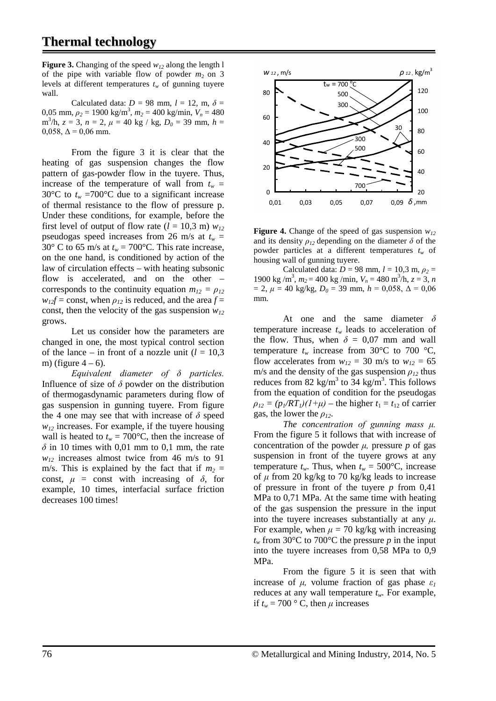**Figure 3.** Changing of the speed  $w_{12}$  along the length l of the pipe with variable flow of powder  $m_2$  on 3 levels at different temperatures  $t_w$  of gunning tuyere wall.

Calculated data:  $D = 98$  mm,  $l = 12$ , m,  $\delta =$ 0,05 mm,  $\rho_2 = 1900 \text{ kg/m}^3$ ,  $m_2 = 400 \text{ kg/min}$ ,  $V_n = 480$  $m^3/h$ ,  $z = 3$ ,  $n = 2$ ,  $\mu = 40$  kg / kg,  $D_0 = 39$  mm,  $h =$ 0,058,  $\Delta$  = 0,06 mm.

From the figure 3 it is clear that the heating of gas suspension changes the flow pattern of gas-powder flow in the tuyere. Thus, increase of the temperature of wall from  $t_w$  = 30 $\rm{°C}$  to  $t_w$  =700 $\rm{°C}$  due to a significant increase of thermal resistance to the flow of pressure p. Under these conditions, for example, before the first level of output of flow rate  $(l = 10.3 \text{ m})$   $w_{12}$ pseudogas speed increases from 26 m/s at  $t_w$  = 30° C to 65 m/s at  $t_w = 700$ °C. This rate increase, on the one hand, is conditioned by action of the law of circulation effects – with heating subsonic flow is accelerated, and on the other – corresponds to the continuity equation  $m_{12} = \rho_{12}$  $w_{12}f$  = const, when  $\rho_{12}$  is reduced, and the area  $f$  = const, then the velocity of the gas suspension  $w_{12}$ grows.

Let us consider how the parameters are changed in one, the most typical control section of the lance – in front of a nozzle unit  $(l = 10,3$ m) (figure  $4-6$ ).

*Equivalent diameter of δ particles.* Influence of size of  $\delta$  powder on the distribution of thermogasdynamic parameters during flow of gas suspension in gunning tuyere. From figure the 4 one may see that with increase of  $\delta$  speed  $w_{12}$  increases. For example, if the tuyere housing wall is heated to  $t_w = 700$ °C, then the increase of  $\delta$  in 10 times with 0,01 mm to 0,1 mm, the rate  $w_{12}$  increases almost twice from 46 m/s to 91 m/s. This is explained by the fact that if  $m_2 =$ const,  $\mu$  = const with increasing of  $\delta$ , for example, 10 times, interfacial surface friction decreases 100 times!



**Figure 4.** Change of the speed of gas suspension  $w_{12}$ and its density  $\rho_{12}$  depending on the diameter  $\delta$  of the powder particles at a different temperatures  $t_w$  of housing wall of gunning tuyere.

Calculated data:  $D = 98$  mm,  $l = 10,3$  m,  $\rho_2 =$ 1900 kg/m<sup>3</sup>,  $m_2 = 400$  kg/min,  $V_n = 480$  m<sup>3</sup>/h,  $z = 3$ , *n*  $= 2, \mu = 40 \text{ kg/kg}, D_0 = 39 \text{ mm}, h = 0.058, \Delta = 0.06$ mm.

At one and the same diameter *δ* temperature increase  $t_w$  leads to acceleration of the flow. Thus, when  $\delta = 0.07$  mm and wall temperature  $t_w$  increase from 30 $^{\circ}$ C to 700  $^{\circ}$ C, flow accelerates from  $w_{12} = 30$  m/s to  $w_{12} = 65$ m/s and the density of the gas suspension  $\rho_{12}$  thus reduces from 82 kg/m<sup>3</sup> to 34 kg/m<sup>3</sup>. This follows from the equation of condition for the pseudogas  $\rho_{12} = (p_1/RT_1)(1+\mu)$  – the higher  $t_1 = t_{12}$  of carrier gas, the lower the *ρ12*.

*The concentration of gunning mass μ.* From the figure 5 it follows that with increase of concentration of the powder  $\mu$ , pressure  $p$  of gas suspension in front of the tuyere grows at any temperature  $t_w$ . Thus, when  $t_w = 500$ °C, increase of  $\mu$  from 20 kg/kg to 70 kg/kg leads to increase of pressure in front of the tuyere *p* from 0,41 MPa to 0,71 MPa. At the same time with heating of the gas suspension the pressure in the input into the tuyere increases substantially at any  $\mu$ . For example, when  $\mu = 70$  kg/kg with increasing  $t_w$  from 30 $\degree$ C to 700 $\degree$ C the pressure *p* in the input into the tuyere increases from 0,58 MPa to 0,9 MPa.

From the figure 5 it is seen that with increase of  $\mu$ , volume fraction of gas phase  $\varepsilon_l$ reduces at any wall temperature *tw*. For example, if  $t_w = 700$  ° C, then  $\mu$  increases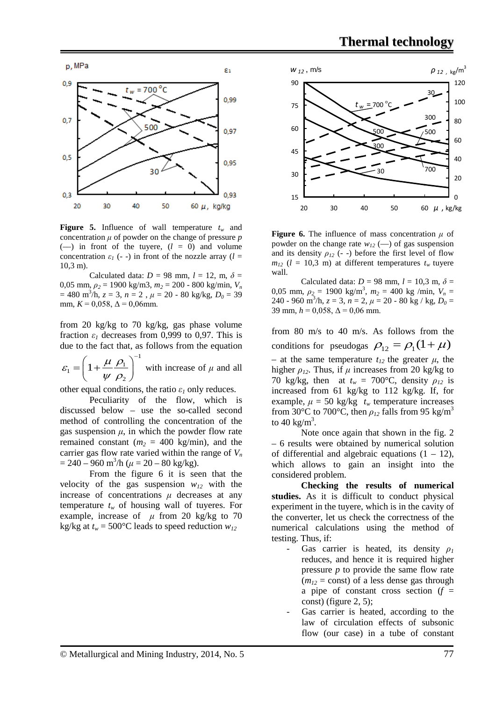

**Figure 5.** Influence of wall temperature  $t_w$  and concentration  $\mu$  of powder on the change of pressure  $p$  $(-)$  in front of the tuyere,  $(l = 0)$  and volume concentration  $\varepsilon_l$  (- -) in front of the nozzle array ( $l =$ 10,3 m).

Calculated data:  $D = 98$  mm,  $l = 12$ , m,  $\delta =$ 0,05 mm, *ρ<sup>2</sup>* = 1900 kg/m3, *m2* = 200 - 800 kg/min, *Vn*  $= 480 \text{ m}^3/\text{h}, z = 3, n = 2, \mu = 20 - 80 \text{ kg/kg}, D_0 = 39$ mm,  $K = 0.058$ ,  $\Delta = 0.06$ mm.

from 20 kg/kg to 70 kg/kg, gas phase volume fraction  $\varepsilon_1$  decreases from 0,999 to 0,97. This is due to the fact that, as follows from the equation

1  $r_1 = 1 + \frac{\mu}{\mu} \frac{\rho_1}{\rho_2}$ 2  $\varepsilon_1 = \left(1 + \frac{\mu}{\rho}\right)$ ψ ρ  $=\left(1+\frac{\mu}{\psi}\frac{\rho_1}{\rho_2}\right)^{-1}$ with increase of  $\mu$  and all

other equal conditions, the ratio  $\varepsilon_1$  only reduces.

Peculiarity of the flow, which is discussed below – use the so-called second method of controlling the concentration of the gas suspension  $\mu$ , in which the powder flow rate remained constant  $(m_2 = 400 \text{ kg/min})$ , and the carrier gas flow rate varied within the range of  $V_n$  $= 240 - 960$  m<sup>3</sup>/h ( $\mu = 20 - 80$  kg/kg).

From the figure 6 it is seen that the velocity of the gas suspension  $w_{12}$  with the increase of concentrations  $\mu$  decreases at any temperature  $t_w$  of housing wall of tuyeres. For example, increase of  $\mu$  from 20 kg/kg to 70 kg/kg at  $t_w = 500$ °C leads to speed reduction  $w_{12}$ 

![](_page_5_Figure_9.jpeg)

**Figure 6.** The influence of mass concentration *μ* of powder on the change rate  $w_{12}$  (-–) of gas suspension and its density  $\rho_{12}$  (- -) before the first level of flow  $m_{12}$  ( $l = 10,3$  m) at different temperatures  $t_w$  tuyere wall.

Calculated data:  $D = 98$  mm,  $l = 10,3$  m,  $\delta =$ 0,05 mm,  $\rho_2 = 1900 \text{ kg/m}^3$ ,  $m_2 = 400 \text{ kg/min}$ ,  $V_n =$ 240 - 960 m<sup>3</sup>/h,  $z = 3$ ,  $n = 2$ ,  $\mu = 20$  - 80 kg / kg,  $D_0 =$ 39 mm,  $h = 0.058$ ,  $\Delta = 0.06$  mm.

from 80 m/s to 40 m/s. As follows from the conditions for pseudogas  $\rho_{12} = \rho_1 (1 + \mu)$ – at the same temperature  $t_{12}$  the greater  $\mu$ , the higher  $\rho_{12}$ . Thus, if  $\mu$  increases from 20 kg/kg to 70 kg/kg, then at  $t_w = 700$ °C, density  $\rho_{12}$  is increased from 61 kg/kg to 112 kg/kg. If, for example,  $\mu = 50$  kg/kg  $t_w$  temperature increases from 30°C to 700°C, then  $\rho_{12}$  falls from 95 kg/m<sup>3</sup> to  $40 \text{ kg/m}^3$ .

Note once again that shown in the fig. 2 – 6 results were obtained by numerical solution of differential and algebraic equations  $(1 - 12)$ , which allows to gain an insight into the considered problem.

**Checking the results of numerical studies.** As it is difficult to conduct physical experiment in the tuyere, which is in the cavity of the converter, let us check the correctness of the numerical calculations using the method of testing. Thus, if:

- Gas carrier is heated, its density *ρ<sup>1</sup>* reduces, and hence it is required higher pressure *p* to provide the same flow rate  $(m_{12} = \text{const})$  of a less dense gas through a pipe of constant cross section  $(f =$ const) (figure 2, 5);
- Gas carrier is heated, according to the law of circulation effects of subsonic flow (our case) in a tube of constant